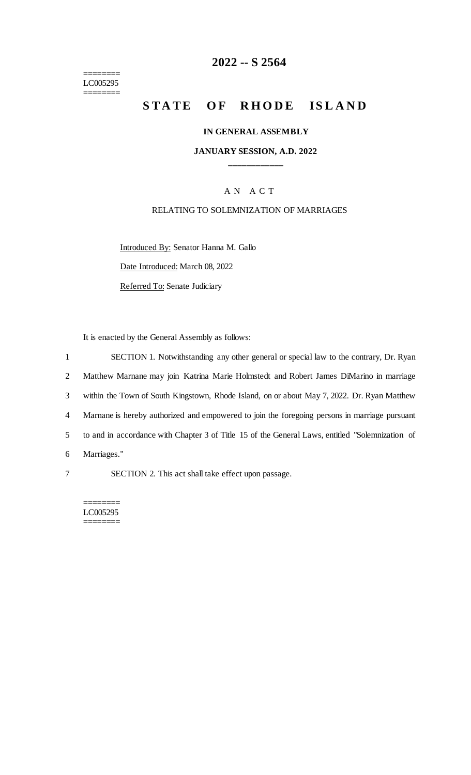======== LC005295 ========

# **2022 -- S 2564**

# **STATE OF RHODE ISLAND**

#### **IN GENERAL ASSEMBLY**

### **JANUARY SESSION, A.D. 2022 \_\_\_\_\_\_\_\_\_\_\_\_**

## A N A C T

### RELATING TO SOLEMNIZATION OF MARRIAGES

Introduced By: Senator Hanna M. Gallo Date Introduced: March 08, 2022

Referred To: Senate Judiciary

It is enacted by the General Assembly as follows:

 SECTION 1. Notwithstanding any other general or special law to the contrary, Dr. Ryan Matthew Marnane may join Katrina Marie Holmstedt and Robert James DiMarino in marriage within the Town of South Kingstown, Rhode Island, on or about May 7, 2022. Dr. Ryan Matthew Marnane is hereby authorized and empowered to join the foregoing persons in marriage pursuant to and in accordance with Chapter 3 of Title 15 of the General Laws, entitled "Solemnization of Marriages."

7 SECTION 2. This act shall take effect upon passage.

======== LC005295 ========